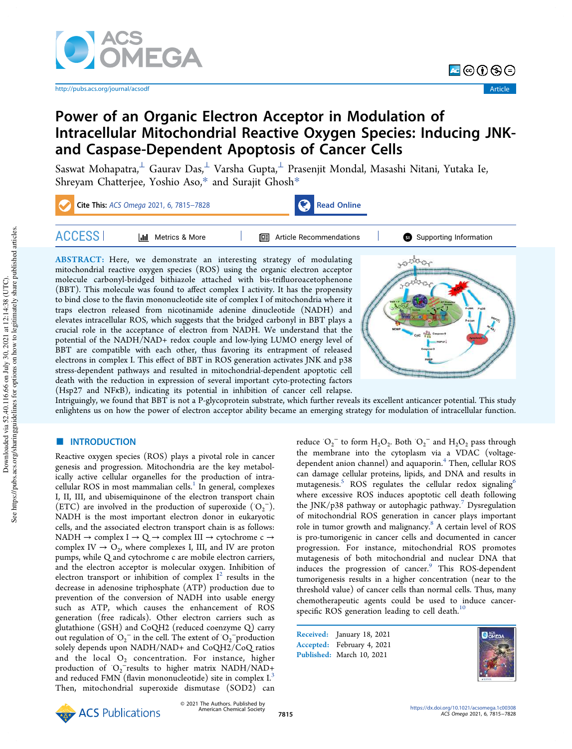

http://pubs.acs.org/journal/acsodf

न⊜⊕⊕⊜

# Power of an Organic Electron Acceptor in Modulation of Intracellular Mitochondrial Reactive Oxygen Species: Inducing JNKand Caspase-Dependent Apoptosis of Cancer Cells

Saswat Mohapatra, $^\perp$  Gaurav Das, $^\perp$  Varsha Gupta, $^\perp$  Prasenjit Mondal, Masashi Nitani, Yutaka Ie, Shreyam Chatterjee, Yoshio Aso,\* and Surajit Ghosh\*



elevates intracellular ROS, which suggests that the bridged carbonyl in BBT plays a crucial role in the acceptance of electron from NADH. We understand that the potential of the NADH/NAD+ redox couple and low-lying LUMO energy level of BBT are compatible with each other, thus favoring its entrapment of released electrons in complex I. This effect of BBT in ROS generation activates JNK and p38 stress-dependent pathways and resulted in mitochondrial-dependent apoptotic cell death with the reduction in expression of several important cyto-protecting factors (Hsp27 and NFκB), indicating its potential in inhibition of cancer cell relapse.



Intriguingly, we found that BBT is not a P-glycoprotein substrate, which further reveals its excellent anticancer potential. This study enlightens us on how the power of electron acceptor ability became an emerging strategy for modulation of intracellular function.

# **ENTRODUCTION**

Reactive oxygen species (ROS) plays a pivotal role in cancer genesis and progression. Mitochondria are the key metabolically active cellular organelles for the production of intracellular ROS in most mammalian cells.<sup>1</sup> In general, complexes I, II, III, and ubisemiquinone of the electron transport chain (ETC) are involved in the production of superoxide  $(O_2^-)$ . NADH is the most important electron donor in eukaryotic cells, and the associated electron transport chain is as follows: NADH  $\rightarrow$  complex I  $\rightarrow$  Q  $\rightarrow$  complex III  $\rightarrow$  cytochrome c  $\rightarrow$ complex  $IV \rightarrow O_2$ , where complexes I, III, and IV are proton pumps, while Q and cytochrome c are mobile electron carriers, and the electron acceptor is molecular oxygen. Inhibition of electron transport or inhibition of complex  $I^2$  results in the decrease in adenosine triphosphate (ATP) production due to prevention of the conversion of NADH into usable energy such as ATP, which causes the enhancement of ROS generation (free radicals). Other electron carriers such as glutathione (GSH) and CoQH2 (reduced coenzyme Q) carry out regulation of  $O_2$ <sup>-</sup> in the cell. The extent of  $O_2$ <sup>-</sup>production solely depends upon NADH/NAD+ and CoQH2/CoQ ratios and the local  $O_2$  concentration. For instance, higher production of O<sub>2</sub><sup>-</sup>results to higher matrix NADH/NAD+ and reduced FMN (flavin mononucleotide) site in complex I.<sup>3</sup> Then, mitochondrial superoxide dismutase (SOD2) can

reduce  $O_2$ <sup>-</sup> to form  $H_2O_2$ . Both  $O_2$ <sup>-</sup> and  $H_2O_2$  pass through the membrane into the cytoplasm via a VDAC (voltagedependent anion channel) and aquaporin.<sup>4</sup> Then, cellular ROS can damage cellular proteins, lipids, and DNA and results in mutagenesis.<sup>5</sup> ROS regulates the cellular redox signaling<sup>6</sup> where excessive ROS induces apoptotic cell death following the JNK/p38 pathway or autophagic pathway.<sup>7</sup> Dysregulation of mitochondrial ROS generation in cancer plays important role in tumor growth and malignancy.<sup>8</sup> A certain level of ROS is pro-tumorigenic in cancer cells and documented in cancer progression. For instance, mitochondrial ROS promotes mutagenesis of both mitochondrial and nuclear DNA that induces the progression of cancer.<sup>9</sup> This ROS-dependent tumorigenesis results in a higher concentration (near to the threshold value) of cancer cells than normal cells. Thus, many chemotherapeutic agents could be used to induce cancerspecific ROS generation leading to cell death. $^{10}$ 

Received: January 18, 2021 Accepted: February 4, 2021 Published: March 10, 2021



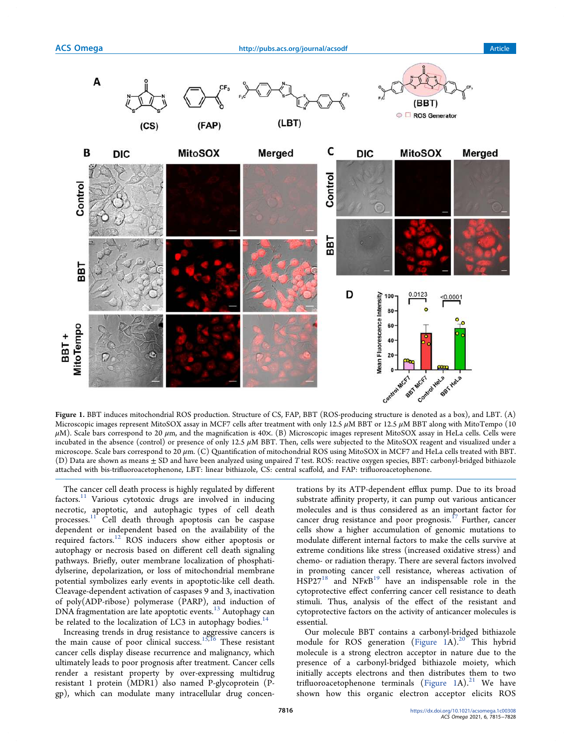

Figure 1. BBT induces mitochondrial ROS production. Structure of CS, FAP, BBT (ROS-producing structure is denoted as a box), and LBT. (A) Microscopic images represent MitoSOX assay in MCF7 cells after treatment with only 12.5 μM BBT or 12.5 μM BBT along with MitoTempo (10  $\mu$ M). Scale bars correspond to 20  $\mu$ m, and the magnification is 40 $\times$ . (B) Microscopic images represent MitoSOX assay in HeLa cells. Cells were incubated in the absence (control) or presence of only 12.5  $\mu$ M BBT. Then, cells were subjected to the MitoSOX reagent and visualized under a microscope. Scale bars correspond to 20 μm. (C) Quantification of mitochondrial ROS using MitoSOX in MCF7 and HeLa cells treated with BBT. (D) Data are shown as means  $\pm$  SD and have been analyzed using unpaired T test. ROS: reactive oxygen species, BBT: carbonyl-bridged bithiazole attached with bis-trifluoroacetophenone, LBT: linear bithiazole, CS: central scaffold, and FAP: trifluoroacetophenone.

The cancer cell death process is highly regulated by different factors.<sup>11</sup> Various cytotoxic drugs are involved in inducing necrotic, apoptotic, and autophagic types of cell death processes.<sup>11</sup> Cell death through apoptosis can be caspase dependent or independent based on the availability of the required factors.<sup>12</sup> ROS inducers show either apoptosis or autophagy or necrosis based on different cell death signaling pathways. Briefly, outer membrane localization of phosphatidylserine, depolarization, or loss of mitochondrial membrane potential symbolizes early events in apoptotic-like cell death. Cleavage-dependent activation of caspases 9 and 3, inactivation of poly(ADP-ribose) polymerase (PARP), and induction of DNA fragmentation are late apoptotic events.<sup>13</sup> Autophagy can be related to the localization of LC3 in autophagy bodies. $14$ 

Increasing trends in drug resistance to aggressive cancers is the main cause of poor clinical success.<sup>15,16</sup> These resistant cancer cells display disease recurrence and malignancy, which ultimately leads to poor prognosis after treatment. Cancer cells render a resistant property by over-expressing multidrug resistant 1 protein (MDR1) also named P-glycoprotein (Pgp), which can modulate many intracellular drug concen-

trations by its ATP-dependent efflux pump. Due to its broad substrate affinity property, it can pump out various anticancer molecules and is thus considered as an important factor for cancer drug resistance and poor prognosis. $^{17}$  Further, cancer cells show a higher accumulation of genomic mutations to modulate different internal factors to make the cells survive at extreme conditions like stress (increased oxidative stress) and chemo- or radiation therapy. There are several factors involved in promoting cancer cell resistance, whereas activation of  $HSP27^{18}$  and  $NFRB^{19}$  have an indispensable role in the cytoprotective effect conferring cancer cell resistance to death stimuli. Thus, analysis of the effect of the resistant and cytoprotective factors on the activity of anticancer molecules is essential.

Our molecule BBT contains a carbonyl-bridged bithiazole module for ROS generation (Figure 1A).<sup>20</sup> This hybrid molecule is a strong electron acceptor in nature due to the presence of a carbonyl-bridged bithiazole moiety, which initially accepts electrons and then distributes them to two trifluoroacetophenone terminals (Figure 1A).<sup>21</sup> We have shown how this organic electron acceptor elicits ROS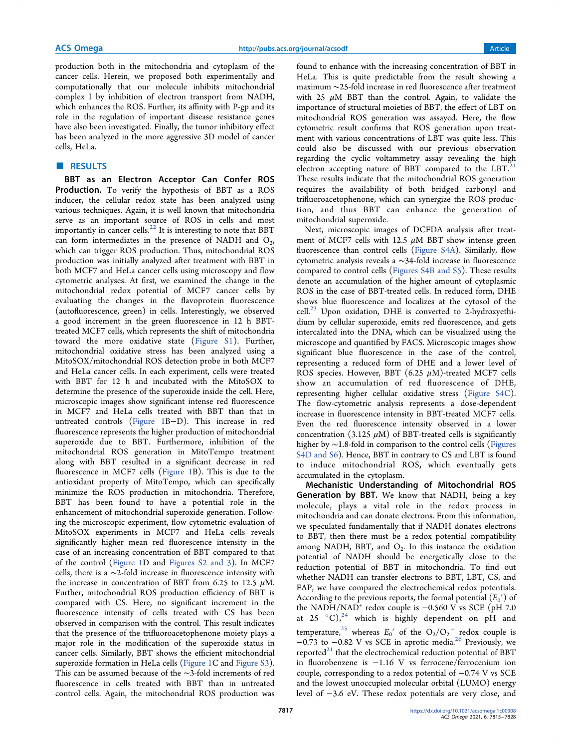production both in the mitochondria and cytoplasm of the cancer cells. Herein, we proposed both experimentally and computationally that our molecule inhibits mitochondrial complex I by inhibition of electron transport from NADH, which enhances the ROS. Further, its affinity with P-gp and its role in the regulation of important disease resistance genes have also been investigated. Finally, the tumor inhibitory effect has been analyzed in the more aggressive 3D model of cancer cells, HeLa.

# ■ RESULTS

BBT as an Electron Acceptor Can Confer ROS Production. To verify the hypothesis of BBT as a ROS inducer, the cellular redox state has been analyzed using various techniques. Again, it is well known that mitochondria serve as an important source of ROS in cells and most importantly in cancer cells. $^{22}$  It is interesting to note that BBT can form intermediates in the presence of NADH and  $O_2$ , which can trigger ROS production. Thus, mitochondrial ROS production was initially analyzed after treatment with BBT in both MCF7 and HeLa cancer cells using microscopy and flow cytometric analyses. At first, we examined the change in the mitochondrial redox potential of MCF7 cancer cells by evaluating the changes in the flavoprotein fluorescence (autofluorescence, green) in cells. Interestingly, we observed a good increment in the green fluorescence in 12 h BBTtreated MCF7 cells, which represents the shift of mitochondria toward the more oxidative state (Figure S1). Further, mitochondrial oxidative stress has been analyzed using a MitoSOX/mitochondrial ROS detection probe in both MCF7 and HeLa cancer cells. In each experiment, cells were treated with BBT for 12 h and incubated with the MitoSOX to determine the presence of the superoxide inside the cell. Here, microscopic images show significant intense red fluorescence in MCF7 and HeLa cells treated with BBT than that in untreated controls (Figure 1B−D). This increase in red fluorescence represents the higher production of mitochondrial superoxide due to BBT. Furthermore, inhibition of the mitochondrial ROS generation in MitoTempo treatment along with BBT resulted in a significant decrease in red fluorescence in MCF7 cells (Figure 1B). This is due to the antioxidant property of MitoTempo, which can specifically minimize the ROS production in mitochondria. Therefore, BBT has been found to have a potential role in the enhancement of mitochondrial superoxide generation. Following the microscopic experiment, flow cytometric evaluation of MitoSOX experiments in MCF7 and HeLa cells reveals significantly higher mean red fluorescence intensity in the case of an increasing concentration of BBT compared to that of the control (Figure 1D and Figures S2 and 3). In MCF7 cells, there is a ∼2-fold increase in fluorescence intensity with the increase in concentration of BBT from 6.25 to 12.5  $\mu$ M. Further, mitochondrial ROS production efficiency of BBT is compared with CS. Here, no significant increment in the fluorescence intensity of cells treated with CS has been observed in comparison with the control. This result indicates that the presence of the trifluoroacetophenone moiety plays a major role in the modification of the superoxide status in cancer cells. Similarly, BBT shows the efficient mitochondrial superoxide formation in HeLa cells (Figure 1C and Figure S3). This can be assumed because of the ∼3-fold increments of red fluorescence in cells treated with BBT than in untreated control cells. Again, the mitochondrial ROS production was

found to enhance with the increasing concentration of BBT in HeLa. This is quite predictable from the result showing a maximum ∼25-fold increase in red fluorescence after treatment with 25  $\mu$ M BBT than the control. Again, to validate the importance of structural moieties of BBT, the effect of LBT on mitochondrial ROS generation was assayed. Here, the flow cytometric result confirms that ROS generation upon treatment with various concentrations of LBT was quite less. This could also be discussed with our previous observation regarding the cyclic voltammetry assay revealing the high electron accepting nature of BBT compared to the  $LBT$ .<sup>2</sup> These results indicate that the mitochondrial ROS generation requires the availability of both bridged carbonyl and trifluoroacetophenone, which can synergize the ROS production, and thus BBT can enhance the generation of mitochondrial superoxide.

Next, microscopic images of DCFDA analysis after treatment of MCF7 cells with 12.5  $\mu$ M BBT show intense green fluorescence than control cells (Figure S4A). Similarly, flow cytometric analysis reveals a ∼34-fold increase in fluorescence compared to control cells (Figures S4B and S5). These results denote an accumulation of the higher amount of cytoplasmic ROS in the case of BBT-treated cells. In reduced form, DHE shows blue fluorescence and localizes at the cytosol of the cell.<sup>23</sup> Upon oxidation, DHE is converted to 2-hydroxyethidium by cellular superoxide, emits red fluorescence, and gets intercalated into the DNA, which can be visualized using the microscope and quantified by FACS. Microscopic images show significant blue fluorescence in the case of the control, representing a reduced form of DHE and a lower level of ROS species. However, BBT (6.25  $\mu$ M)-treated MCF7 cells show an accumulation of red fluorescence of DHE, representing higher cellular oxidative stress (Figure S4C). The flow-cytometric analysis represents a dose-dependent increase in fluorescence intensity in BBT-treated MCF7 cells. Even the red fluorescence intensity observed in a lower concentration (3.125  $\mu$ M) of BBT-treated cells is significantly higher by ∼1.8-fold in comparison to the control cells (Figures S4D and S6). Hence, BBT in contrary to CS and LBT is found to induce mitochondrial ROS, which eventually gets accumulated in the cytoplasm.

Mechanistic Understanding of Mitochondrial ROS Generation by BBT. We know that NADH, being a key molecule, plays a vital role in the redox process in mitochondria and can donate electrons. From this information, we speculated fundamentally that if NADH donates electrons to BBT, then there must be a redox potential compatibility among NADH, BBT, and  $O_2$ . In this instance the oxidation potential of NADH should be energetically close to the reduction potential of BBT in mitochondria. To find out whether NADH can transfer electrons to BBT, LBT, CS, and FAP, we have compared the electrochemical redox potentials. According to the previous reports, the formal potential  $(E_0)$  of the NADH/NAD<sup>+</sup> redox couple is -0.560 V vs SCE (pH 7.0 at 25 °C), $^{24}$  which is highly dependent on pH and temperature,<sup>25</sup> whereas  $E_0'$  of the  $O_2/O_2$ <sup>-</sup> redox couple is  $-0.73$  to  $-0.82$  V vs SCE in aprotic media.<sup>26</sup> Previously, we reported $21$  that the electrochemical reduction potential of BBT in fluorobenzene is −1.16 V vs ferrocene/ferrocenium ion couple, corresponding to a redox potential of −0.74 V vs SCE and the lowest unoccupied molecular orbital (LUMO) energy level of −3.6 eV. These redox potentials are very close, and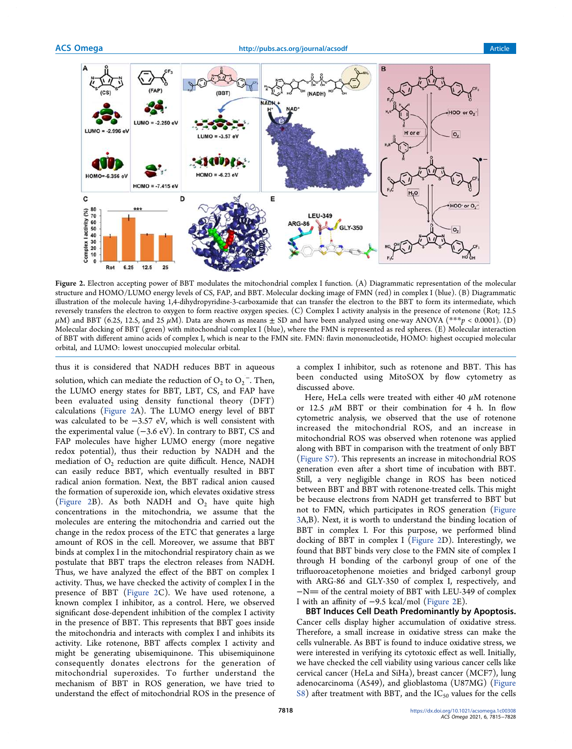

Figure 2. Electron accepting power of BBT modulates the mitochondrial complex I function. (A) Diagrammatic representation of the molecular structure and HOMO/LUMO energy levels of CS, FAP, and BBT. Molecular docking image of FMN (red) in complex I (blue). (B) Diagrammatic illustration of the molecule having 1,4-dihydropyridine-3-carboxamide that can transfer the electron to the BBT to form its intermediate, which reversely transfers the electron to oxygen to form reactive oxygen species. (C) Complex I activity analysis in the presence of rotenone (Rot; 12.5  $\mu$ M) and BBT (6.25, 12.5, and 25  $\mu$ M). Data are shown as means  $\pm$  SD and have been analyzed using one-way ANOVA (\*\*\*p < 0.0001). (D) Molecular docking of BBT (green) with mitochondrial complex I (blue), where the FMN is represented as red spheres. (E) Molecular interaction of BBT with different amino acids of complex I, which is near to the FMN site. FMN: flavin mononucleotide, HOMO: highest occupied molecular orbital, and LUMO: lowest unoccupied molecular orbital.

thus it is considered that NADH reduces BBT in aqueous solution, which can mediate the reduction of  $O_2$  to  $O_2^{\text{-}}$  . Then, the LUMO energy states for BBT, LBT, CS, and FAP have been evaluated using density functional theory (DFT) calculations (Figure 2A). The LUMO energy level of BBT was calculated to be −3.57 eV, which is well consistent with the experimental value  $(-3.6 \text{ eV})$ . In contrary to BBT, CS and FAP molecules have higher LUMO energy (more negative redox potential), thus their reduction by NADH and the mediation of  $\mathrm{O}_2^{'}$  reduction are quite difficult. Hence, NADH can easily reduce BBT, which eventually resulted in BBT radical anion formation. Next, the BBT radical anion caused the formation of superoxide ion, which elevates oxidative stress (Figure 2B). As both NADH and  $O_2$  have quite high concentrations in the mitochondria, we assume that the molecules are entering the mitochondria and carried out the change in the redox process of the ETC that generates a large amount of ROS in the cell. Moreover, we assume that BBT binds at complex I in the mitochondrial respiratory chain as we postulate that BBT traps the electron releases from NADH. Thus, we have analyzed the effect of the BBT on complex I activity. Thus, we have checked the activity of complex I in the presence of BBT (Figure 2C). We have used rotenone, a known complex I inhibitor, as a control. Here, we observed significant dose-dependent inhibition of the complex I activity in the presence of BBT. This represents that BBT goes inside the mitochondria and interacts with complex I and inhibits its activity. Like rotenone, BBT affects complex I activity and might be generating ubisemiquinone. This ubisemiquinone consequently donates electrons for the generation of mitochondrial superoxides. To further understand the mechanism of BBT in ROS generation, we have tried to understand the effect of mitochondrial ROS in the presence of a complex I inhibitor, such as rotenone and BBT. This has been conducted using MitoSOX by flow cytometry as discussed above.

Here, HeLa cells were treated with either 40  $\mu$ M rotenone or 12.5  $\mu$ M BBT or their combination for 4 h. In flow cytometric analysis, we observed that the use of rotenone increased the mitochondrial ROS, and an increase in mitochondrial ROS was observed when rotenone was applied along with BBT in comparison with the treatment of only BBT (Figure S7). This represents an increase in mitochondrial ROS generation even after a short time of incubation with BBT. Still, a very negligible change in ROS has been noticed between BBT and BBT with rotenone-treated cells. This might be because electrons from NADH get transferred to BBT but not to FMN, which participates in ROS generation (Figure 3A,B). Next, it is worth to understand the binding location of BBT in complex I. For this purpose, we performed blind docking of BBT in complex I (Figure 2D). Interestingly, we found that BBT binds very close to the FMN site of complex I through H bonding of the carbonyl group of one of the trifluoroacetophenone moieties and bridged carbonyl group with ARG-86 and GLY-350 of complex I, respectively, and −N= of the central moiety of BBT with LEU-349 of complex I with an affinity of −9.5 kcal/mol (Figure 2E).

BBT Induces Cell Death Predominantly by Apoptosis. Cancer cells display higher accumulation of oxidative stress. Therefore, a small increase in oxidative stress can make the cells vulnerable. As BBT is found to induce oxidative stress, we were interested in verifying its cytotoxic effect as well. Initially, we have checked the cell viability using various cancer cells like cervical cancer (HeLa and SiHa), breast cancer (MCF7), lung adenocarcinoma (A549), and glioblastoma (U87MG) (Figure S8) after treatment with BBT, and the  $IC_{50}$  values for the cells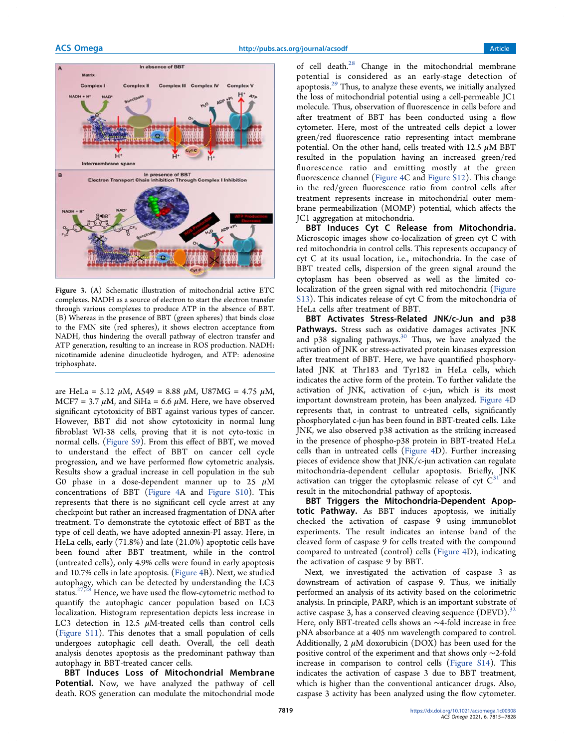

Figure 3. (A) Schematic illustration of mitochondrial active ETC complexes. NADH as a source of electron to start the electron transfer through various complexes to produce ATP in the absence of BBT. (B) Whereas in the presence of BBT (green spheres) that binds close to the FMN site (red spheres), it shows electron acceptance from NADH, thus hindering the overall pathway of electron transfer and ATP generation, resulting to an increase in ROS production. NADH: nicotinamide adenine dinucleotide hydrogen, and ATP: adenosine triphosphate.

are HeLa = 5.12  $\mu$ M, A549 = 8.88  $\mu$ M, U87MG = 4.75  $\mu$ M,  $MCF7 = 3.7 \mu M$ , and SiHa = 6.6  $\mu$ M. Here, we have observed significant cytotoxicity of BBT against various types of cancer. However, BBT did not show cytotoxicity in normal lung fibroblast WI-38 cells, proving that it is not cyto-toxic in normal cells. (Figure S9). From this effect of BBT, we moved to understand the effect of BBT on cancer cell cycle progression, and we have performed flow cytometric analysis. Results show a gradual increase in cell population in the sub G0 phase in a dose-dependent manner up to 25  $\mu$ M concentrations of BBT (Figure 4A and Figure S10). This represents that there is no significant cell cycle arrest at any checkpoint but rather an increased fragmentation of DNA after treatment. To demonstrate the cytotoxic effect of BBT as the type of cell death, we have adopted annexin-PI assay. Here, in HeLa cells, early (71.8%) and late (21.0%) apoptotic cells have been found after BBT treatment, while in the control (untreated cells), only 4.9% cells were found in early apoptosis and 10.7% cells in late apoptosis. (Figure 4B). Next, we studied autophagy, which can be detected by understanding the LC3 status. $27,28$  Hence, we have used the flow-cytometric method to quantify the autophagic cancer population based on LC3 localization. Histogram representation depicts less increase in LC3 detection in 12.5  $\mu$ M-treated cells than control cells (Figure S11). This denotes that a small population of cells undergoes autophagic cell death. Overall, the cell death analysis denotes apoptosis as the predominant pathway than autophagy in BBT-treated cancer cells.

BBT Induces Loss of Mitochondrial Membrane Potential. Now, we have analyzed the pathway of cell death. ROS generation can modulate the mitochondrial mode of cell death.<sup>28</sup> Change in the mitochondrial membrane potential is considered as an early-stage detection of apoptosis.<sup>29</sup> Thus, to analyze these events, we initially analyzed the loss of mitochondrial potential using a cell-permeable JC1 molecule. Thus, observation of fluorescence in cells before and after treatment of BBT has been conducted using a flow cytometer. Here, most of the untreated cells depict a lower green/red fluorescence ratio representing intact membrane potential. On the other hand, cells treated with 12.5  $\mu$ M BBT resulted in the population having an increased green/red fluorescence ratio and emitting mostly at the green fluorescence channel (Figure 4C and Figure S12). This change in the red/green fluorescence ratio from control cells after treatment represents increase in mitochondrial outer membrane permeabilization (MOMP) potential, which affects the JC1 aggregation at mitochondria.

BBT Induces Cyt C Release from Mitochondria. Microscopic images show co-localization of green cyt C with red mitochondria in control cells. This represents occupancy of cyt C at its usual location, i.e., mitochondria. In the case of BBT treated cells, dispersion of the green signal around the cytoplasm has been observed as well as the limited colocalization of the green signal with red mitochondria (Figure S13). This indicates release of cyt C from the mitochondria of HeLa cells after treatment of BBT.

BBT Activates Stress-Related JNK/c-Jun and p38 Pathways. Stress such as oxidative damages activates JNK and p38 signaling pathways.<sup>30</sup> Thus, we have analyzed the activation of JNK or stress-activated protein kinases expression after treatment of BBT. Here, we have quantified phosphorylated JNK at Thr183 and Tyr182 in HeLa cells, which indicates the active form of the protein. To further validate the activation of JNK, activation of c-jun, which is its most important downstream protein, has been analyzed. Figure 4D represents that, in contrast to untreated cells, significantly phosphorylated c-jun has been found in BBT-treated cells. Like JNK, we also observed p38 activation as the striking increased in the presence of phospho-p38 protein in BBT-treated HeLa cells than in untreated cells (Figure 4D). Further increasing pieces of evidence show that JNK/c-jun activation can regulate mitochondria-dependent cellular apoptosis. Briefly, JNK activation can trigger the cytoplasmic release of cyt  $C<sup>31</sup>$  and result in the mitochondrial pathway of apoptosis.

BBT Triggers the Mitochondria-Dependent Apoptotic Pathway. As BBT induces apoptosis, we initially checked the activation of caspase 9 using immunoblot experiments. The result indicates an intense band of the cleaved form of caspase 9 for cells treated with the compound compared to untreated (control) cells (Figure 4D), indicating the activation of caspase 9 by BBT.

Next, we investigated the activation of caspase 3 as downstream of activation of caspase 9. Thus, we initially performed an analysis of its activity based on the colorimetric analysis. In principle, PARP, which is an important substrate of active caspase 3, has a conserved cleaving sequence  $(DEVD).$ <sup>32</sup> Here, only BBT-treated cells shows an ∼4-fold increase in free pNA absorbance at a 405 nm wavelength compared to control. Additionally, 2  $\mu$ M doxorubicin (DOX) has been used for the positive control of the experiment and that shows only ∼2-fold increase in comparison to control cells (Figure S14). This indicates the activation of caspase 3 due to BBT treatment, which is higher than the conventional anticancer drugs. Also, caspase 3 activity has been analyzed using the flow cytometer.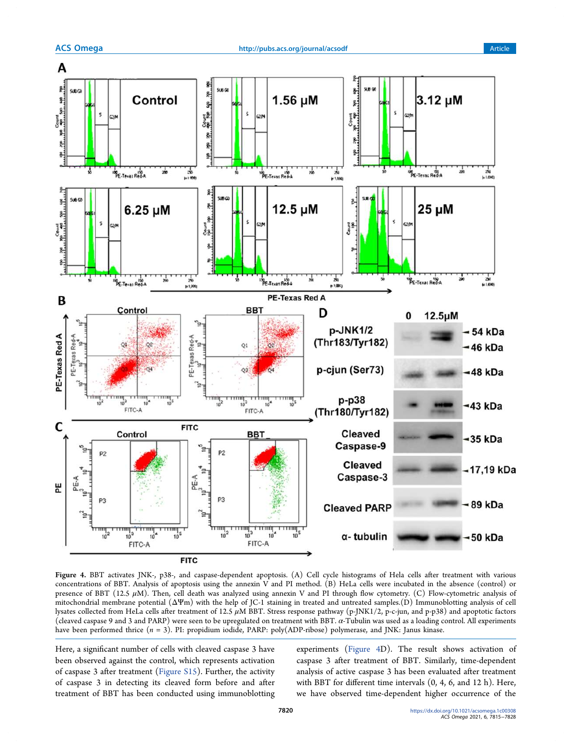

Figure 4. BBT activates JNK-, p38-, and caspase-dependent apoptosis. (A) Cell cycle histograms of Hela cells after treatment with various concentrations of BBT. Analysis of apoptosis using the annexin V and PI method. (B) HeLa cells were incubated in the absence (control) or presence of BBT (12.5  $\mu$ M). Then, cell death was analyzed using annexin V and PI through flow cytometry. (C) Flow-cytometric analysis of mitochondrial membrane potential (ΔΨm) with the help of JC-1 staining in treated and untreated samples.(D) Immunoblotting analysis of cell lysates collected from HeLa cells after treatment of 12.5  $\mu$ M BBT. Stress response pathway (p-JNK1/2, p-c-jun, and p-p38) and apoptotic factors (cleaved caspase 9 and 3 and PARP) were seen to be upregulated on treatment with BBT. α-Tubulin was used as a loading control. All experiments have been performed thrice (n = 3). PI: propidium iodide, PARP: poly(ADP-ribose) polymerase, and JNK: Janus kinase.

Here, a significant number of cells with cleaved caspase 3 have been observed against the control, which represents activation of caspase 3 after treatment (Figure S15). Further, the activity of caspase 3 in detecting its cleaved form before and after treatment of BBT has been conducted using immunoblotting

experiments (Figure 4D). The result shows activation of caspase 3 after treatment of BBT. Similarly, time-dependent analysis of active caspase 3 has been evaluated after treatment with BBT for different time intervals (0, 4, 6, and 12 h). Here, we have observed time-dependent higher occurrence of the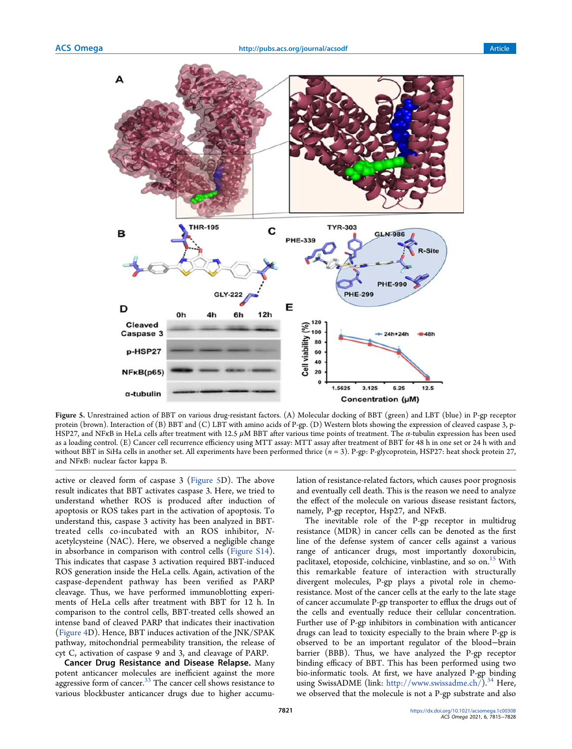

Figure 5. Unrestrained action of BBT on various drug-resistant factors. (A) Molecular docking of BBT (green) and LBT (blue) in P-gp receptor protein (brown). Interaction of (B) BBT and (C) LBT with amino acids of P-gp. (D) Western blots showing the expression of cleaved caspase 3, p-HSP27, and NFKB in HeLa cells after treatment with 12.5  $\mu$ M BBT after various time points of treatment. The  $\alpha$ -tubulin expression has been used as a loading control. (E) Cancer cell recurrence efficiency using MTT assay: MTT assay after treatment of BBT for 48 h in one set or 24 h with and without BBT in SiHa cells in another set. All experiments have been performed thrice  $(n = 3)$ . P-gp: P-glycoprotein, HSP27: heat shock protein 27, and NFκB: nuclear factor kappa B.

active or cleaved form of caspase 3 (Figure 5D). The above result indicates that BBT activates caspase 3. Here, we tried to understand whether ROS is produced after induction of apoptosis or ROS takes part in the activation of apoptosis. To understand this, caspase 3 activity has been analyzed in BBTtreated cells co-incubated with an ROS inhibitor, Nacetylcysteine (NAC). Here, we observed a negligible change in absorbance in comparison with control cells (Figure S14). This indicates that caspase 3 activation required BBT-induced ROS generation inside the HeLa cells. Again, activation of the caspase-dependent pathway has been verified as PARP cleavage. Thus, we have performed immunoblotting experiments of HeLa cells after treatment with BBT for 12 h. In comparison to the control cells, BBT-treated cells showed an intense band of cleaved PARP that indicates their inactivation (Figure 4D). Hence, BBT induces activation of the JNK/SPAK pathway, mitochondrial permeability transition, the release of cyt C, activation of caspase 9 and 3, and cleavage of PARP.

Cancer Drug Resistance and Disease Relapse. Many potent anticancer molecules are inefficient against the more aggressive form of cancer.<sup>33</sup> The cancer cell shows resistance to various blockbuster anticancer drugs due to higher accumulation of resistance-related factors, which causes poor prognosis and eventually cell death. This is the reason we need to analyze the effect of the molecule on various disease resistant factors, namely, P-gp receptor, Hsp27, and NFκB.

The inevitable role of the P-gp receptor in multidrug resistance (MDR) in cancer cells can be denoted as the first line of the defense system of cancer cells against a various range of anticancer drugs, most importantly doxorubicin, paclitaxel, etoposide, colchicine, vinblastine, and so on.<sup>15</sup> With this remarkable feature of interaction with structurally divergent molecules, P-gp plays a pivotal role in chemoresistance. Most of the cancer cells at the early to the late stage of cancer accumulate P-gp transporter to efflux the drugs out of the cells and eventually reduce their cellular concentration. Further use of P-gp inhibitors in combination with anticancer drugs can lead to toxicity especially to the brain where P-gp is observed to be an important regulator of the blood−brain barrier (BBB). Thus, we have analyzed the P-gp receptor binding efficacy of BBT. This has been performed using two bio-informatic tools. At first, we have analyzed P-gp binding using SwissADME (link: http://www.swissadme.ch/).<sup>34</sup> Here, we observed that the molecule is not a P-gp substrate and also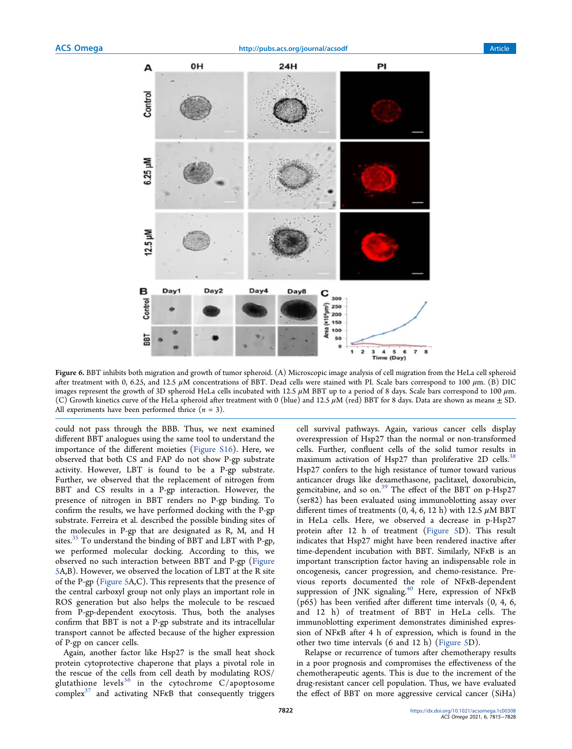

Figure 6. BBT inhibits both migration and growth of tumor spheroid. (A) Microscopic image analysis of cell migration from the HeLa cell spheroid after treatment with 0, 6.25, and 12.5  $\mu$ M concentrations of BBT. Dead cells were stained with PI. Scale bars correspond to 100  $\mu$ m. (B) DIC images represent the growth of 3D spheroid HeLa cells incubated with 12.5  $\mu$ M BBT up to a period of 8 days. Scale bars correspond to 100  $\mu$ m. (C) Growth kinetics curve of the HeLa spheroid after treatment with 0 (blue) and 12.5  $\mu$ M (red) BBT for 8 days. Data are shown as means  $\pm$  SD. All experiments have been performed thrice  $(n = 3)$ .

could not pass through the BBB. Thus, we next examined different BBT analogues using the same tool to understand the importance of the different moieties (Figure S16). Here, we observed that both CS and FAP do not show P-gp substrate activity. However, LBT is found to be a P-gp substrate. Further, we observed that the replacement of nitrogen from BBT and CS results in a P-gp interaction. However, the presence of nitrogen in BBT renders no P-gp binding. To confirm the results, we have performed docking with the P-gp substrate. Ferreira et al. described the possible binding sites of the molecules in P-gp that are designated as R, M, and H sites.<sup>35</sup> To understand the binding of BBT and LBT with P-gp, we performed molecular docking. According to this, we observed no such interaction between BBT and P-gp (Figure 5A,B). However, we observed the location of LBT at the R site of the P-gp (Figure 5A,C). This represents that the presence of the central carboxyl group not only plays an important role in ROS generation but also helps the molecule to be rescued from P-gp-dependent exocytosis. Thus, both the analyses confirm that BBT is not a P-gp substrate and its intracellular transport cannot be affected because of the higher expression of P-gp on cancer cells.

Again, another factor like Hsp27 is the small heat shock protein cytoprotective chaperone that plays a pivotal role in the rescue of the cells from cell death by modulating ROS/ glutathione levels<sup>36</sup> in the cytochrome C/apoptosome  $complex<sup>37</sup>$  and activating NF $\kappa$ B that consequently triggers

cell survival pathways. Again, various cancer cells display overexpression of Hsp27 than the normal or non-transformed cells. Further, confluent cells of the solid tumor results in maximum activation of Hsp27 than proliferative 2D cells.<sup>32</sup> Hsp27 confers to the high resistance of tumor toward various anticancer drugs like dexamethasone, paclitaxel, doxorubicin, gemcitabine, and so on.<sup>39</sup> The effect of the BBT on p-Hsp27 (ser82) has been evaluated using immunoblotting assay over different times of treatments  $(0, 4, 6, 12 \text{ h})$  with 12.5  $\mu$ M BBT in HeLa cells. Here, we observed a decrease in p-Hsp27 protein after 12 h of treatment (Figure 5D). This result indicates that Hsp27 might have been rendered inactive after time-dependent incubation with BBT. Similarly, NFκB is an important transcription factor having an indispensable role in oncogenesis, cancer progression, and chemo-resistance. Previous reports documented the role of NFκB-dependent suppression of JNK signaling.<sup>40</sup> Here, expression of NFKB (p65) has been verified after different time intervals (0, 4, 6, and 12 h) of treatment of BBT in HeLa cells. The immunoblotting experiment demonstrates diminished expression of NFκB after 4 h of expression, which is found in the other two time intervals (6 and 12 h) (Figure 5D).

Relapse or recurrence of tumors after chemotherapy results in a poor prognosis and compromises the effectiveness of the chemotherapeutic agents. This is due to the increment of the drug-resistant cancer cell population. Thus, we have evaluated the effect of BBT on more aggressive cervical cancer (SiHa)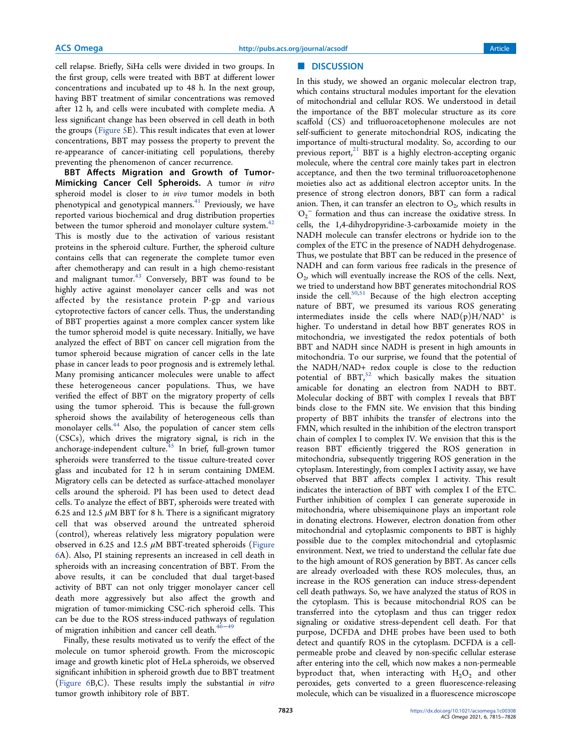cell relapse. Briefly, SiHa cells were divided in two groups. In the first group, cells were treated with BBT at different lower concentrations and incubated up to 48 h. In the next group, having BBT treatment of similar concentrations was removed after 12 h, and cells were incubated with complete media. A less significant change has been observed in cell death in both the groups (Figure 5E). This result indicates that even at lower concentrations, BBT may possess the property to prevent the re-appearance of cancer-initiating cell populations, thereby preventing the phenomenon of cancer recurrence.

BBT Affects Migration and Growth of Tumor-Mimicking Cancer Cell Spheroids. A tumor in vitro spheroid model is closer to in vivo tumor models in both phenotypical and genotypical manners.<sup>41</sup> Previously, we have reported various biochemical and drug distribution properties between the tumor spheroid and monolayer culture system. $42$ This is mostly due to the activation of various resistant proteins in the spheroid culture. Further, the spheroid culture contains cells that can regenerate the complete tumor even after chemotherapy and can result in a high chemo-resistant and malignant tumor.<sup>43</sup> Conversely, BBT was found to be highly active against monolayer cancer cells and was not affected by the resistance protein P-gp and various cytoprotective factors of cancer cells. Thus, the understanding of BBT properties against a more complex cancer system like the tumor spheroid model is quite necessary. Initially, we have analyzed the effect of BBT on cancer cell migration from the tumor spheroid because migration of cancer cells in the late phase in cancer leads to poor prognosis and is extremely lethal. Many promising anticancer molecules were unable to affect these heterogeneous cancer populations. Thus, we have verified the effect of BBT on the migratory property of cells using the tumor spheroid. This is because the full-grown spheroid shows the availability of heterogeneous cells than monolayer cells.<sup>44</sup> Also, the population of cancer stem cells (CSCs), which drives the migratory signal, is rich in the anchorage-independent culture.<sup>45</sup> In brief, full-grown tumor spheroids were transferred to the tissue culture-treated cover glass and incubated for 12 h in serum containing DMEM. Migratory cells can be detected as surface-attached monolayer cells around the spheroid. PI has been used to detect dead cells. To analyze the effect of BBT, spheroids were treated with 6.25 and 12.5  $\mu$ M BBT for 8 h. There is a significant migratory cell that was observed around the untreated spheroid (control), whereas relatively less migratory population were observed in 6.25 and 12.5  $\mu$ M BBT-treated spheroids (Figure 6A). Also, PI staining represents an increased in cell death in spheroids with an increasing concentration of BBT. From the above results, it can be concluded that dual target-based activity of BBT can not only trigger monolayer cancer cell death more aggressively but also affect the growth and migration of tumor-mimicking CSC-rich spheroid cells. This can be due to the ROS stress-induced pathways of regulation of migration inhibition and cancer cell death.<sup>46−</sup>

Finally, these results motivated us to verify the effect of the molecule on tumor spheroid growth. From the microscopic image and growth kinetic plot of HeLa spheroids, we observed significant inhibition in spheroid growth due to BBT treatment (Figure 6B,C). These results imply the substantial in vitro tumor growth inhibitory role of BBT.

### ■ DISCUSSION

In this study, we showed an organic molecular electron trap, which contains structural modules important for the elevation of mitochondrial and cellular ROS. We understood in detail the importance of the BBT molecular structure as its core scaffold (CS) and trifluoroacetophenone molecules are not self-sufficient to generate mitochondrial ROS, indicating the importance of multi-structural modality. So, according to our previous report, $21$  BBT is a highly electron-accepting organic molecule, where the central core mainly takes part in electron acceptance, and then the two terminal trifluoroacetophenone moieties also act as additional electron acceptor units. In the presence of strong electron donors, BBT can form a radical anion. Then, it can transfer an electron to  $O_2$ , which results in  ${\rm O_2}^-$  formation and thus can increase the oxidative stress. In cells, the 1,4-dihydropyridine-3-carboxamide moiety in the NADH molecule can transfer electrons or hydride ion to the complex of the ETC in the presence of NADH dehydrogenase. Thus, we postulate that BBT can be reduced in the presence of NADH and can form various free radicals in the presence of O2 , which will eventually increase the ROS of the cells. Next, we tried to understand how BBT generates mitochondrial ROS inside the cell. $50,51$  Because of the high electron accepting nature of BBT, we presumed its various ROS generating intermediates inside the cells where  $\mathrm{NAD(p)H/NAD^+}$  is higher. To understand in detail how BBT generates ROS in mitochondria, we investigated the redox potentials of both BBT and NADH since NADH is present in high amounts in mitochondria. To our surprise, we found that the potential of the NADH/NAD+ redox couple is close to the reduction potential of  $BBT<sub>1</sub><sup>52</sup>$  which basically makes the situation amicable for donating an electron from NADH to BBT. Molecular docking of BBT with complex I reveals that BBT binds close to the FMN site. We envision that this binding property of BBT inhibits the transfer of electrons into the FMN, which resulted in the inhibition of the electron transport chain of complex I to complex IV. We envision that this is the reason BBT efficiently triggered the ROS generation in mitochondria, subsequently triggering ROS generation in the cytoplasm. Interestingly, from complex I activity assay, we have observed that BBT affects complex I activity. This result indicates the interaction of BBT with complex I of the ETC. Further inhibition of complex I can generate superoxide in mitochondria, where ubisemiquinone plays an important role in donating electrons. However, electron donation from other mitochondrial and cytoplasmic components to BBT is highly possible due to the complex mitochondrial and cytoplasmic environment. Next, we tried to understand the cellular fate due to the high amount of ROS generation by BBT. As cancer cells are already overloaded with these ROS molecules, thus, an increase in the ROS generation can induce stress-dependent cell death pathways. So, we have analyzed the status of ROS in the cytoplasm. This is because mitochondrial ROS can be transferred into the cytoplasm and thus can trigger redox signaling or oxidative stress-dependent cell death. For that purpose, DCFDA and DHE probes have been used to both detect and quantify ROS in the cytoplasm. DCFDA is a cellpermeable probe and cleaved by non-specific cellular esterase after entering into the cell, which now makes a non-permeable byproduct that, when interacting with  $H_2O_2$  and other peroxides, gets converted to a green fluorescence-releasing molecule, which can be visualized in a fluorescence microscope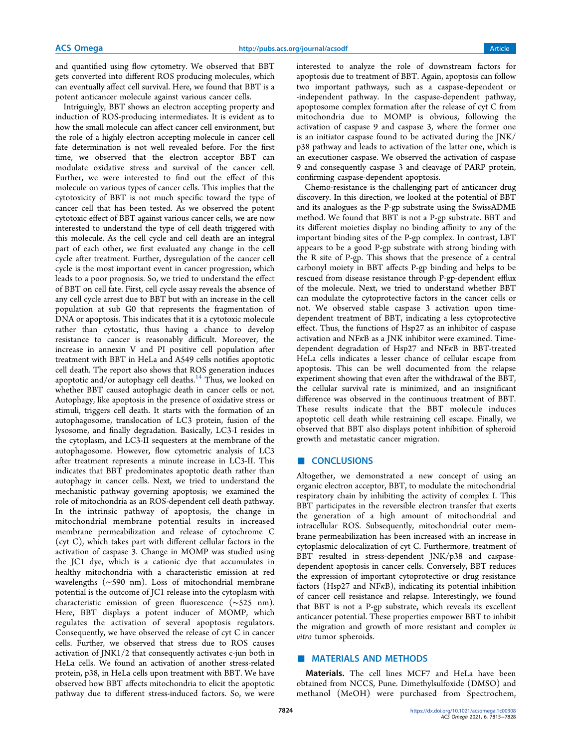and quantified using flow cytometry. We observed that BBT gets converted into different ROS producing molecules, which can eventually affect cell survival. Here, we found that BBT is a potent anticancer molecule against various cancer cells.

Intriguingly, BBT shows an electron accepting property and induction of ROS-producing intermediates. It is evident as to how the small molecule can affect cancer cell environment, but the role of a highly electron accepting molecule in cancer cell fate determination is not well revealed before. For the first time, we observed that the electron acceptor BBT can modulate oxidative stress and survival of the cancer cell. Further, we were interested to find out the effect of this molecule on various types of cancer cells. This implies that the cytotoxicity of BBT is not much specific toward the type of cancer cell that has been tested. As we observed the potent cytotoxic effect of BBT against various cancer cells, we are now interested to understand the type of cell death triggered with this molecule. As the cell cycle and cell death are an integral part of each other, we first evaluated any change in the cell cycle after treatment. Further, dysregulation of the cancer cell cycle is the most important event in cancer progression, which leads to a poor prognosis. So, we tried to understand the effect of BBT on cell fate. First, cell cycle assay reveals the absence of any cell cycle arrest due to BBT but with an increase in the cell population at sub G0 that represents the fragmentation of DNA or apoptosis. This indicates that it is a cytotoxic molecule rather than cytostatic, thus having a chance to develop resistance to cancer is reasonably difficult. Moreover, the increase in annexin V and PI positive cell population after treatment with BBT in HeLa and A549 cells notifies apoptotic cell death. The report also shows that ROS generation induces apoptotic and/or autophagy cell deaths.<sup>14</sup> Thus, we looked on whether BBT caused autophagic death in cancer cells or not. Autophagy, like apoptosis in the presence of oxidative stress or stimuli, triggers cell death. It starts with the formation of an autophagosome, translocation of LC3 protein, fusion of the lysosome, and finally degradation. Basically, LC3-I resides in the cytoplasm, and LC3-II sequesters at the membrane of the autophagosome. However, flow cytometric analysis of LC3 after treatment represents a minute increase in LC3-II. This indicates that BBT predominates apoptotic death rather than autophagy in cancer cells. Next, we tried to understand the mechanistic pathway governing apoptosis; we examined the role of mitochondria as an ROS-dependent cell death pathway. In the intrinsic pathway of apoptosis, the change in mitochondrial membrane potential results in increased membrane permeabilization and release of cytochrome C (cyt C), which takes part with different cellular factors in the activation of caspase 3. Change in MOMP was studied using the JC1 dye, which is a cationic dye that accumulates in healthy mitochondria with a characteristic emission at red wavelengths (∼590 nm). Loss of mitochondrial membrane potential is the outcome of JC1 release into the cytoplasm with characteristic emission of green fluorescence (∼525 nm). Here, BBT displays a potent inducer of MOMP, which regulates the activation of several apoptosis regulators. Consequently, we have observed the release of cyt C in cancer cells. Further, we observed that stress due to ROS causes activation of JNK1/2 that consequently activates c-jun both in HeLa cells. We found an activation of another stress-related protein, p38, in HeLa cells upon treatment with BBT. We have observed how BBT affects mitochondria to elicit the apoptotic pathway due to different stress-induced factors. So, we were

interested to analyze the role of downstream factors for apoptosis due to treatment of BBT. Again, apoptosis can follow two important pathways, such as a caspase-dependent or -independent pathway. In the caspase-dependent pathway, apoptosome complex formation after the release of cyt C from mitochondria due to MOMP is obvious, following the activation of caspase 9 and caspase 3, where the former one is an initiator caspase found to be activated during the JNK/ p38 pathway and leads to activation of the latter one, which is an executioner caspase. We observed the activation of caspase 9 and consequently caspase 3 and cleavage of PARP protein, confirming caspase-dependent apoptosis.

Chemo-resistance is the challenging part of anticancer drug discovery. In this direction, we looked at the potential of BBT and its analogues as the P-gp substrate using the SwissADME method. We found that BBT is not a P-gp substrate. BBT and its different moieties display no binding affinity to any of the important binding sites of the P-gp complex. In contrast, LBT appears to be a good P-gp substrate with strong binding with the R site of P-gp. This shows that the presence of a central carbonyl moiety in BBT affects P-gp binding and helps to be rescued from disease resistance through P-gp-dependent efflux of the molecule. Next, we tried to understand whether BBT can modulate the cytoprotective factors in the cancer cells or not. We observed stable caspase 3 activation upon timedependent treatment of BBT, indicating a less cytoprotective effect. Thus, the functions of Hsp27 as an inhibitor of caspase activation and NFκB as a JNK inhibitor were examined. Timedependent degradation of Hsp27 and NFκB in BBT-treated HeLa cells indicates a lesser chance of cellular escape from apoptosis. This can be well documented from the relapse experiment showing that even after the withdrawal of the BBT, the cellular survival rate is minimized, and an insignificant difference was observed in the continuous treatment of BBT. These results indicate that the BBT molecule induces apoptotic cell death while restraining cell escape. Finally, we observed that BBT also displays potent inhibition of spheroid growth and metastatic cancer migration.

#### ■ **CONCLUSIONS**

Altogether, we demonstrated a new concept of using an organic electron acceptor, BBT, to modulate the mitochondrial respiratory chain by inhibiting the activity of complex I. This BBT participates in the reversible electron transfer that exerts the generation of a high amount of mitochondrial and intracellular ROS. Subsequently, mitochondrial outer membrane permeabilization has been increased with an increase in cytoplasmic delocalization of cyt C. Furthermore, treatment of BBT resulted in stress-dependent JNK/p38 and caspasedependent apoptosis in cancer cells. Conversely, BBT reduces the expression of important cytoprotective or drug resistance factors (Hsp27 and NFκB), indicating its potential inhibition of cancer cell resistance and relapse. Interestingly, we found that BBT is not a P-gp substrate, which reveals its excellent anticancer potential. These properties empower BBT to inhibit the migration and growth of more resistant and complex in vitro tumor spheroids.

## **MATERIALS AND METHODS**

Materials. The cell lines MCF7 and HeLa have been obtained from NCCS, Pune. Dimethylsulfoxide (DMSO) and methanol (MeOH) were purchased from Spectrochem,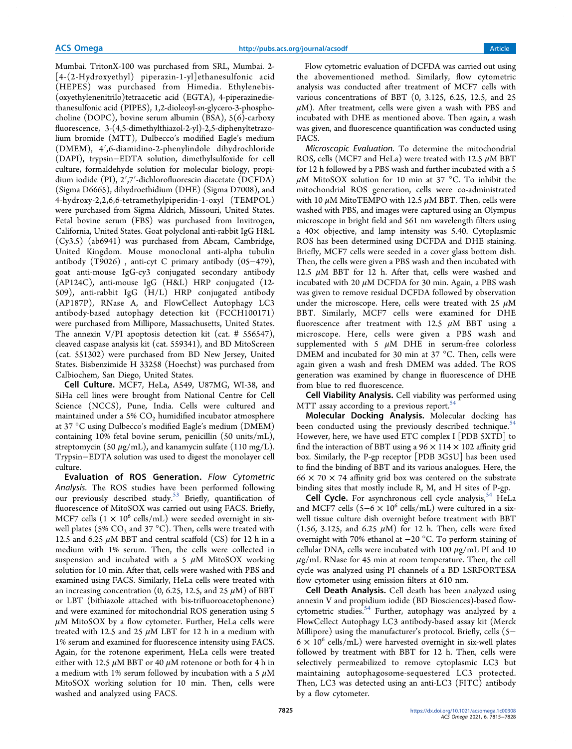Mumbai. TritonX-100 was purchased from SRL, Mumbai. 2- [4-(2-Hydroxyethyl) piperazin-1-yl]ethanesulfonic acid (HEPES) was purchased from Himedia. Ethylenebis- (oxyethylenenitrilo)tetraacetic acid (EGTA), 4-piperazinediethanesulfonic acid (PIPES), 1,2-dioleoyl-sn-glycero-3-phosphocholine (DOPC), bovine serum albumin (BSA), 5(6)-carboxy fluorescence, 3-(4,5-dimethylthiazol-2-yl)-2,5-diphenyltetrazolium bromide (MTT), Dulbecco's modified Eagle's medium (DMEM), 4′,6-diamidino-2-phenylindole dihydrochloride (DAPI), trypsin−EDTA solution, dimethylsulfoxide for cell culture, formaldehyde solution for molecular biology, propidium iodide (PI), 2′,7′-dichlorofluorescin diacetate (DCFDA) (Sigma D6665), dihydroethidium (DHE) (Sigma D7008), and 4-hydroxy-2,2,6,6-tetramethylpiperidin-1-oxyl (TEMPOL) were purchased from Sigma Aldrich, Missouri, United States. Fetal bovine serum (FBS) was purchased from Invitrogen, California, United States. Goat polyclonal anti-rabbit IgG H&L (Cy3.5) (ab6941) was purchased from Abcam, Cambridge, United Kingdom. Mouse monoclonal anti-alpha tubulin antibody (T9026) , anti-cyt C primary antibody (05−479), goat anti-mouse IgG-cy3 conjugated secondary antibody (AP124C), anti-mouse IgG (H&L) HRP conjugated (12- 509), anti-rabbit IgG (H/L) HRP conjugated antibody (AP187P), RNase A, and FlowCellect Autophagy LC3 antibody-based autophagy detection kit (FCCH100171) were purchased from Millipore, Massachusetts, United States. The annexin V/PI apoptosis detection kit (cat. # 556547), cleaved caspase analysis kit (cat. 559341), and BD MitoScreen (cat. 551302) were purchased from BD New Jersey, United States. Bisbenzimide H 33258 (Hoechst) was purchased from Calbiochem, San Diego, United States.

Cell Culture. MCF7, HeLa, A549, U87MG, WI-38, and SiHa cell lines were brought from National Centre for Cell Science (NCCS), Pune, India. Cells were cultured and maintained under a 5%  $CO<sub>2</sub>$  humidified incubator atmosphere at 37 °C using Dulbecco's modified Eagle's medium (DMEM) containing 10% fetal bovine serum, penicillin (50 units/mL), streptomycin (50  $\mu$ g/mL), and kanamycin sulfate (110 mg/L). Trypsin−EDTA solution was used to digest the monolayer cell culture.

Evaluation of ROS Generation. Flow Cytometric Analysis. The ROS studies have been performed following our previously described study.<sup>53</sup> Briefly, quantification of fluorescence of MitoSOX was carried out using FACS. Briefly, MCF7 cells  $(1 \times 10^6 \text{ cells/mL})$  were seeded overnight in sixwell plates (5%  $CO_2$  and 37 °C). Then, cells were treated with 12.5 and 6.25  $\mu$ M BBT and central scaffold (CS) for 12 h in a medium with 1% serum. Then, the cells were collected in suspension and incubated with a 5  $\mu$ M MitoSOX working solution for 10 min. After that, cells were washed with PBS and examined using FACS. Similarly, HeLa cells were treated with an increasing concentration (0, 6.25, 12.5, and 25  $\mu$ M) of BBT or LBT (bithiazole attached with bis-trifluoroacetophenone) and were examined for mitochondrial ROS generation using 5  $\mu$ M MitoSOX by a flow cytometer. Further, HeLa cells were treated with 12.5 and 25  $\mu$ M LBT for 12 h in a medium with 1% serum and examined for fluorescence intensity using FACS. Again, for the rotenone experiment, HeLa cells were treated either with 12.5  $\mu$ M BBT or 40  $\mu$ M rotenone or both for 4 h in a medium with 1% serum followed by incubation with a 5  $\mu$ M MitoSOX working solution for 10 min. Then, cells were washed and analyzed using FACS.

Flow cytometric evaluation of DCFDA was carried out using the abovementioned method. Similarly, flow cytometric analysis was conducted after treatment of MCF7 cells with various concentrations of BBT (0, 3.125, 6.25, 12.5, and 25  $\mu$ M). After treatment, cells were given a wash with PBS and incubated with DHE as mentioned above. Then again, a wash was given, and fluorescence quantification was conducted using FACS.

Microscopic Evaluation. To determine the mitochondrial ROS, cells (MCF7 and HeLa) were treated with 12.5  $\mu$ M BBT for 12 h followed by a PBS wash and further incubated with a 5  $\mu$ M MitoSOX solution for 10 min at 37 °C. To inhibit the mitochondrial ROS generation, cells were co-administrated with 10  $\mu$ M MitoTEMPO with 12.5  $\mu$ M BBT. Then, cells were washed with PBS, and images were captured using an Olympus microscope in bright field and 561 nm wavelength filters using a 40× objective, and lamp intensity was 5.40. Cytoplasmic ROS has been determined using DCFDA and DHE staining. Briefly, MCF7 cells were seeded in a cover glass bottom dish. Then, the cells were given a PBS wash and then incubated with 12.5  $\mu$ M BBT for 12 h. After that, cells were washed and incubated with 20  $\mu$ M DCFDA for 30 min. Again, a PBS wash was given to remove residual DCFDA followed by observation under the microscope. Here, cells were treated with 25  $\mu$ M BBT. Similarly, MCF7 cells were examined for DHE fluorescence after treatment with 12.5  $\mu$ M BBT using a microscope. Here, cells were given a PBS wash and supplemented with 5  $\mu$ M DHE in serum-free colorless DMEM and incubated for 30 min at 37 °C. Then, cells were again given a wash and fresh DMEM was added. The ROS generation was examined by change in fluorescence of DHE from blue to red fluorescence.

Cell Viability Analysis. Cell viability was performed using MTT assay according to a previous report.<sup>54</sup>

Molecular Docking Analysis. Molecular docking has been conducted using the previously described technique.<sup>54</sup> However, here, we have used ETC complex I [PDB 5XTD] to find the interaction of BBT using a  $96 \times 114 \times 102$  affinity grid box. Similarly, the P-gp receptor [PDB 3G5U] has been used to find the binding of BBT and its various analogues. Here, the  $66 \times 70 \times 74$  affinity grid box was centered on the substrate binding sites that mostly include R, M, and H sites of P-gp.

Cell Cycle. For asynchronous cell cycle analysis,<sup>54</sup> HeLa and MCF7 cells  $(5-6 \times 10^6 \text{ cells/mL})$  were cultured in a sixwell tissue culture dish overnight before treatment with BBT (1.56, 3.125, and 6.25  $\mu$ M) for 12 h. Then, cells were fixed overnight with 70% ethanol at −20 °C. To perform staining of cellular DNA, cells were incubated with 100  $\mu$ g/mL PI and 10  $\mu$ g/mL RNase for 45 min at room temperature. Then, the cell cycle was analyzed using PI channels of a BD LSRFORTESA flow cytometer using emission filters at 610 nm.

Cell Death Analysis. Cell death has been analyzed using annexin V and propidium iodide (BD Biosciences)-based flowcytometric studies. $54$  Further, autophagy was analyzed by a FlowCellect Autophagy LC3 antibody-based assay kit (Merck Millipore) using the manufacturer's protocol. Briefly, cells (5−  $6 \times 10^6$  cells/mL) were harvested overnight in six-well plates followed by treatment with BBT for 12 h. Then, cells were selectively permeabilized to remove cytoplasmic LC3 but maintaining autophagosome-sequestered LC3 protected. Then, LC3 was detected using an anti-LC3 (FITC) antibody by a flow cytometer.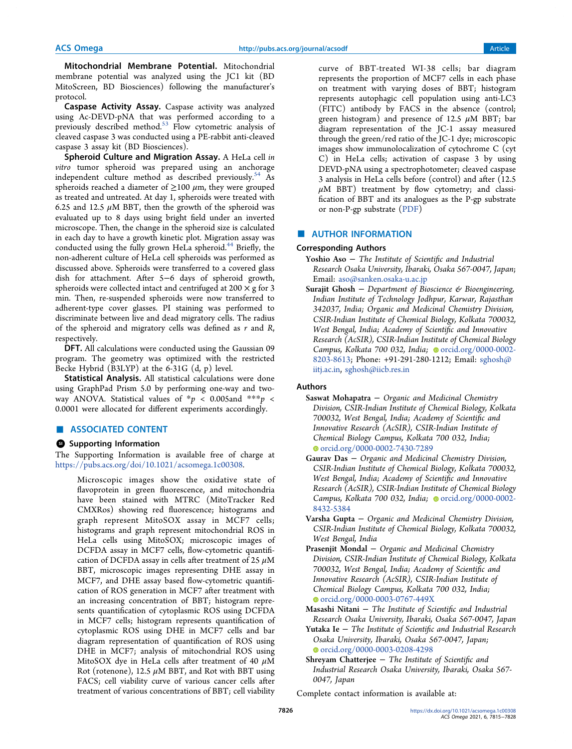Mitochondrial Membrane Potential. Mitochondrial membrane potential was analyzed using the JC1 kit (BD MitoScreen, BD Biosciences) following the manufacturer's protocol.

Caspase Activity Assay. Caspase activity was analyzed using Ac-DEVD-pNA that was performed according to a previously described method.<sup>53</sup> Flow cytometric analysis of cleaved caspase 3 was conducted using a PE-rabbit anti-cleaved caspase 3 assay kit (BD Biosciences).

Spheroid Culture and Migration Assay. A HeLa cell in vitro tumor spheroid was prepared using an anchorage independent culture method as described previously.<sup>54</sup> As spheroids reached a diameter of  $\geq$ 100  $\mu$ m, they were grouped as treated and untreated. At day 1, spheroids were treated with 6.25 and 12.5  $\mu$ M BBT, then the growth of the spheroid was evaluated up to 8 days using bright field under an inverted microscope. Then, the change in the spheroid size is calculated in each day to have a growth kinetic plot. Migration assay was conducted using the fully grown HeLa spheroid.<sup>44</sup> Briefly, the non-adherent culture of HeLa cell spheroids was performed as discussed above. Spheroids were transferred to a covered glass dish for attachment. After 5−6 days of spheroid growth, spheroids were collected intact and centrifuged at  $200 \times g$  for 3 min. Then, re-suspended spheroids were now transferred to adherent-type cover glasses. PI staining was performed to discriminate between live and dead migratory cells. The radius of the spheroid and migratory cells was defined as  $r$  and  $R$ , respectively.

DFT. All calculations were conducted using the Gaussian 09 program. The geometry was optimized with the restricted Becke Hybrid (B3LYP) at the 6-31G (d, p) level.

Statistical Analysis. All statistical calculations were done using GraphPad Prism 5.0 by performing one-way and twoway ANOVA. Statistical values of  $* p \lt 0.005$  and  $** p \lt 0.005$ 0.0001 were allocated for different experiments accordingly.

# ■ ASSOCIATED CONTENT

#### **<sup>3</sup>** Supporting Information

The Supporting Information is available free of charge at https://pubs.acs.org/doi/10.1021/acsomega.1c00308.

Microscopic images show the oxidative state of flavoprotein in green fluorescence, and mitochondria have been stained with MTRC (MitoTracker Red CMXRos) showing red fluorescence; histograms and graph represent MitoSOX assay in MCF7 cells; histograms and graph represent mitochondrial ROS in HeLa cells using MitoSOX; microscopic images of DCFDA assay in MCF7 cells, flow-cytometric quantification of DCFDA assay in cells after treatment of 25  $\mu$ M BBT, microscopic images representing DHE assay in MCF7, and DHE assay based flow-cytometric quantification of ROS generation in MCF7 after treatment with an increasing concentration of BBT; histogram represents quantification of cytoplasmic ROS using DCFDA in MCF7 cells; histogram represents quantification of cytoplasmic ROS using DHE in MCF7 cells and bar diagram representation of quantification of ROS using DHE in MCF7; analysis of mitochondrial ROS using MitoSOX dye in HeLa cells after treatment of 40  $\mu$ M Rot (rotenone), 12.5  $\mu$ M BBT, and Rot with BBT using FACS; cell viability curve of various cancer cells after treatment of various concentrations of BBT; cell viability

curve of BBT-treated WI-38 cells; bar diagram represents the proportion of MCF7 cells in each phase on treatment with varying doses of BBT; histogram represents autophagic cell population using anti-LC3 (FITC) antibody by FACS in the absence (control; green histogram) and presence of 12.5  $\mu$ M BBT; bar diagram representation of the JC-1 assay measured through the green/red ratio of the JC-1 dye; microscopic images show immunolocalization of cytochrome C (cyt C) in HeLa cells; activation of caspase 3 by using DEVD-pNA using a spectrophotometer; cleaved caspase 3 analysis in HeLa cells before (control) and after (12.5  $\mu$ M BBT) treatment by flow cytometry; and classification of BBT and its analogues as the P-gp substrate or non-P-gp substrate (PDF)

### ■ AUTHOR INFORMATION

#### Corresponding Authors

- Yoshio Aso − The Institute of Scientific and Industrial Research Osaka University, Ibaraki, Osaka 567-0047, Japan; Email: aso@sanken.osaka-u.ac.jp
- Surajit Ghosh Department of Bioscience & Bioengineering, Indian Institute of Technology Jodhpur, Karwar, Rajasthan 342037, India; Organic and Medicinal Chemistry Division, CSIR-Indian Institute of Chemical Biology, Kolkata 700032, West Bengal, India; Academy of Scientific and Innovative Research (AcSIR), CSIR-Indian Institute of Chemical Biology Campus, Kolkata 700 032, India;  $\bullet$  orcid.org/0000-0002-8203-8613; Phone: +91-291-280-1212; Email: sghosh@ iitj.ac.in, sghosh@iicb.res.in

# Authors

- Saswat Mohapatra − Organic and Medicinal Chemistry Division, CSIR-Indian Institute of Chemical Biology, Kolkata 700032, West Bengal, India; Academy of Scientific and Innovative Research (AcSIR), CSIR-Indian Institute of Chemical Biology Campus, Kolkata 700 032, India; orcid.org/0000-0002-7430-7289
- Gaurav Das − Organic and Medicinal Chemistry Division, CSIR-Indian Institute of Chemical Biology, Kolkata 700032, West Bengal, India; Academy of Scientific and Innovative Research (AcSIR), CSIR-Indian Institute of Chemical Biology Campus, Kolkata 700 032, India; orcid.org/0000-0002-8432-5384
- Varsha Gupta − Organic and Medicinal Chemistry Division, CSIR-Indian Institute of Chemical Biology, Kolkata 700032, West Bengal, India
- Prasenjit Mondal − Organic and Medicinal Chemistry Division, CSIR-Indian Institute of Chemical Biology, Kolkata 700032, West Bengal, India; Academy of Scientific and Innovative Research (AcSIR), CSIR-Indian Institute of Chemical Biology Campus, Kolkata 700 032, India; ● orcid.org/0000-0003-0767-449X
- Masashi Nitani − The Institute of Scientific and Industrial Research Osaka University, Ibaraki, Osaka 567-0047, Japan
- Yutaka Ie − The Institute of Scientific and Industrial Research Osaka University, Ibaraki, Osaka 567-0047, Japan; orcid.org/0000-0003-0208-4298
- Shreyam Chatterjee  $-$  The Institute of Scientific and Industrial Research Osaka University, Ibaraki, Osaka 567- 0047, Japan

Complete contact information is available at: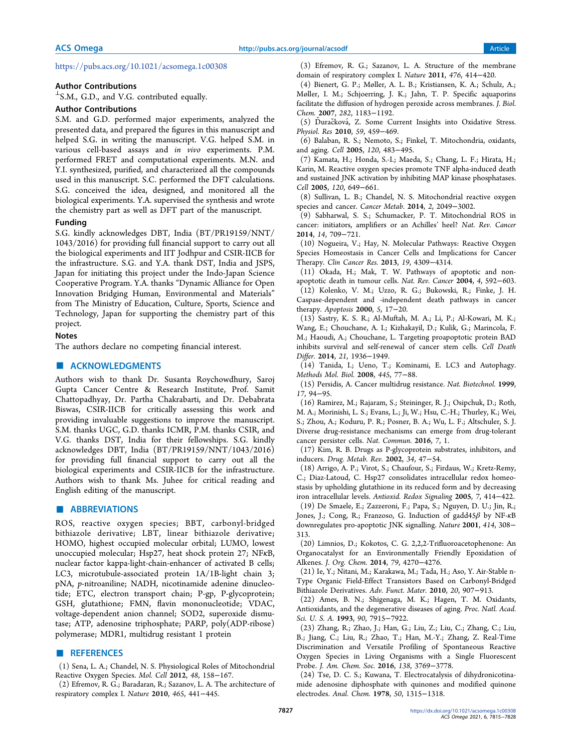https://pubs.acs.org/10.1021/acsomega.1c00308

#### Author Contributions

 $^{\perp}$ S.M., G.D., and V.G. contributed equally.

# Author Contributions

S.M. and G.D. performed major experiments, analyzed the presented data, and prepared the figures in this manuscript and helped S.G. in writing the manuscript. V.G. helped S.M. in various cell-based assays and in vivo experiments. P.M. performed FRET and computational experiments. M.N. and Y.I. synthesized, purified, and characterized all the compounds used in this manuscript. S.C. performed the DFT calculations. S.G. conceived the idea, designed, and monitored all the biological experiments. Y.A. supervised the synthesis and wrote the chemistry part as well as DFT part of the manuscript.

#### Funding

S.G. kindly acknowledges DBT, India (BT/PR19159/NNT/ 1043/2016) for providing full financial support to carry out all the biological experiments and IIT Jodhpur and CSIR-IICB for the infrastructure. S.G. and Y.A. thank DST, India and JSPS, Japan for initiating this project under the Indo-Japan Science Cooperative Program. Y.A. thanks "Dynamic Alliance for Open Innovation Bridging Human, Environmental and Materials" from The Ministry of Education, Culture, Sports, Science and Technology, Japan for supporting the chemistry part of this project.

#### Notes

The authors declare no competing financial interest.

#### ■ ACKNOWLEDGMENTS

Authors wish to thank Dr. Susanta Roychowdhury, Saroj Gupta Cancer Centre & Research Institute, Prof. Samit Chattopadhyay, Dr. Partha Chakrabarti, and Dr. Debabrata Biswas, CSIR-IICB for critically assessing this work and providing invaluable suggestions to improve the manuscript. S.M. thanks UGC, G.D. thanks ICMR, P.M. thanks CSIR, and V.G. thanks DST, India for their fellowships. S.G. kindly acknowledges DBT, India (BT/PR19159/NNT/1043/2016) for providing full financial support to carry out all the biological experiments and CSIR-IICB for the infrastructure. Authors wish to thank Ms. Juhee for critical reading and English editing of the manuscript.

#### ■ ABBREVIATIONS

ROS, reactive oxygen species; BBT, carbonyl-bridged bithiazole derivative; LBT, linear bithiazole derivative; HOMO, highest occupied molecular orbital; LUMO, lowest unoccupied molecular; Hsp27, heat shock protein 27; NFκB, nuclear factor kappa-light-chain-enhancer of activated B cells; LC3, microtubule-associated protein 1A/1B-light chain 3; pNA, p-nitroaniline; NADH, nicotinamide adenine dinucleotide; ETC, electron transport chain; P-gp, P-glycoprotein; GSH, glutathione; FMN, flavin mononucleotide; VDAC, voltage-dependent anion channel; SOD2, superoxide dismutase; ATP, adenosine triphosphate; PARP, poly(ADP-ribose) polymerase; MDR1, multidrug resistant 1 protein

#### ■ REFERENCES

(1) Sena, L. A.; Chandel, N. S. Physiological Roles of Mitochondrial Reactive Oxygen Species. Mol. Cell 2012, 48, 158−167.

(2) Efremov, R. G.; Baradaran, R.; Sazanov, L. A. The architecture of respiratory complex I. Nature 2010, 465, 441−445.

(3) Efremov, R. G.; Sazanov, L. A. Structure of the membrane domain of respiratory complex I. Nature 2011, 476, 414−420.

(4) Bienert, G. P.; Møller, A. L. B.; Kristiansen, K. A.; Schulz, A.; Møller, I. M.; Schjoerring, J. K.; Jahn, T. P. Specific aquaporins facilitate the diffusion of hydrogen peroxide across membranes. J. Biol. Chem. 2007, 282, 1183−1192.

(5) Duracková, Z. Some Current Insights into Oxidative Stress. Physiol. Res 2010, 59, 459−469.

(6) Balaban, R. S.; Nemoto, S.; Finkel, T. Mitochondria, oxidants, and aging. Cell 2005, 120, 483−495.

(7) Kamata, H.; Honda, S.-I.; Maeda, S.; Chang, L. F.; Hirata, H.; Karin, M. Reactive oxygen species promote TNF alpha-induced death and sustained JNK activation by inhibiting MAP kinase phosphatases. Cell 2005, 120, 649−661.

(8) Sullivan, L. B.; Chandel, N. S. Mitochondrial reactive oxygen species and cancer. Cancer Metab. 2014, 2, 2049−3002.

(9) Sabharwal, S. S.; Schumacker, P. T. Mitochondrial ROS in cancer: initiators, amplifiers or an Achilles' heel? Nat. Rev. Cancer 2014, 14, 709−721.

(10) Nogueira, V.; Hay, N. Molecular Pathways: Reactive Oxygen Species Homeostasis in Cancer Cells and Implications for Cancer Therapy. Clin Cancer Res. 2013, 19, 4309−4314.

(11) Okada, H.; Mak, T. W. Pathways of apoptotic and nonapoptotic death in tumour cells. Nat. Rev. Cancer 2004, 4, 592−603. (12) Kolenko, V. M.; Uzzo, R. G.; Bukowski, R.; Finke, J. H. Caspase-dependent and -independent death pathways in cancer therapy. Apoptosis 2000, 5, 17−20.

(13) Sastry, K. S. R.; Al-Muftah, M. A.; Li, P.; Al-Kowari, M. K.; Wang, E.; Chouchane, A. I.; Kizhakayil, D.; Kulik, G.; Marincola, F. M.; Haoudi, A.; Chouchane, L. Targeting proapoptotic protein BAD inhibits survival and self-renewal of cancer stem cells. Cell Death Differ. 2014, 21, 1936−1949.

(14) Tanida, I.; Ueno, T.; Kominami, E. LC3 and Autophagy. Methods Mol. Biol. 2008, 445, 77−88.

(15) Persidis, A. Cancer multidrug resistance. Nat. Biotechnol. 1999, 17, 94−95.

(16) Ramirez, M.; Rajaram, S.; Steininger, R. J.; Osipchuk, D.; Roth, M. A.; Morinishi, L. S.; Evans, L.; Ji, W.; Hsu, C.-H.; Thurley, K.; Wei, S.; Zhou, A.; Koduru, P. R.; Posner, B. A.; Wu, L. F.; Altschuler, S. J. Diverse drug-resistance mechanisms can emerge from drug-tolerant cancer persister cells. Nat. Commun. 2016, 7, 1.

(17) Kim, R. B. Drugs as P-glycoprotein substrates, inhibitors, and inducers. Drug. Metab. Rev. 2002, 34, 47−54.

(18) Arrigo, A. P.; Virot, S.; Chaufour, S.; Firdaus, W.; Kretz-Remy, C.; Diaz-Latoud, C. Hsp27 consolidates intracellular redox homeostasis by upholding glutathione in its reduced form and by decreasing iron intracellular levels. Antioxid. Redox Signaling 2005, 7, 414−422. (19) De Smaele, E.; Zazzeroni, F.; Papa, S.; Nguyen, D. U.; Jin, R.; Jones, J.; Cong, R.; Franzoso, G. Induction of gadd45β by NF-κB downregulates pro-apoptotic JNK signalling. Nature 2001, 414, 308− 313.

(20) Limnios, D.; Kokotos, C. G. 2,2,2-Trifluoroacetophenone: An Organocatalyst for an Environmentally Friendly Epoxidation of Alkenes. J. Org. Chem. 2014, 79, 4270−4276.

(21) Ie, Y.; Nitani, M.; Karakawa, M.; Tada, H.; Aso, Y. Air-Stable n-Type Organic Field-Effect Transistors Based on Carbonyl-Bridged Bithiazole Derivatives. Adv. Funct. Mater. 2010, 20, 907−913.

(22) Ames, B. N.; Shigenaga, M. K.; Hagen, T. M. Oxidants, Antioxidants, and the degenerative diseases of aging. Proc. Natl. Acad. Sci. U. S. A. 1993, 90, 7915−7922.

(23) Zhang, R.; Zhao, J.; Han, G.; Liu, Z.; Liu, C.; Zhang, C.; Liu, B.; Jiang, C.; Liu, R.; Zhao, T.; Han, M.-Y.; Zhang, Z. Real-Time Discrimination and Versatile Profiling of Spontaneous Reactive Oxygen Species in Living Organisms with a Single Fluorescent Probe. J. Am. Chem. Soc. 2016, 138, 3769−3778.

(24) Tse, D. C. S.; Kuwana, T. Electrocatalysis of dihydronicotinamide adenosine diphosphate with quinones and modified quinone electrodes. Anal. Chem. 1978, 50, 1315−1318.